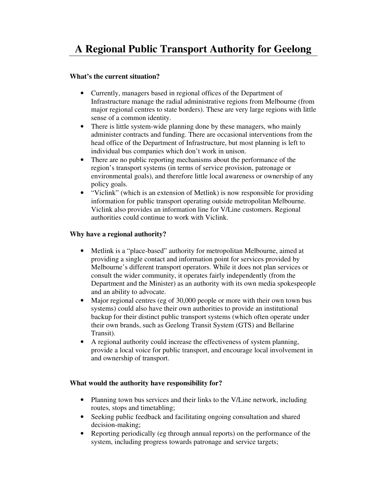# **A Regional Public Transport Authority for Geelong**

#### **What's the current situation?**

- Currently, managers based in regional offices of the Department of Infrastructure manage the radial administrative regions from Melbourne (from major regional centres to state borders). These are very large regions with little sense of a common identity.
- There is little system-wide planning done by these managers, who mainly administer contracts and funding. There are occasional interventions from the head office of the Department of Infrastructure, but most planning is left to individual bus companies which don't work in unison.
- There are no public reporting mechanisms about the performance of the region's transport systems (in terms of service provision, patronage or environmental goals), and therefore little local awareness or ownership of any policy goals.
- "Viclink" (which is an extension of Metlink) is now responsible for providing information for public transport operating outside metropolitan Melbourne. Viclink also provides an information line for V/Line customers. Regional authorities could continue to work with Viclink.

## **Why have a regional authority?**

- Metlink is a "place-based" authority for metropolitan Melbourne, aimed at providing a single contact and information point for services provided by Melbourne's different transport operators. While it does not plan services or consult the wider community, it operates fairly independently (from the Department and the Minister) as an authority with its own media spokespeople and an ability to advocate.
- Major regional centres (eg of 30,000 people or more with their own town bus systems) could also have their own authorities to provide an institutional backup for their distinct public transport systems (which often operate under their own brands, such as Geelong Transit System (GTS) and Bellarine Transit).
- A regional authority could increase the effectiveness of system planning, provide a local voice for public transport, and encourage local involvement in and ownership of transport.

#### **What would the authority have responsibility for?**

- Planning town bus services and their links to the V/Line network, including routes, stops and timetabling;
- Seeking public feedback and facilitating ongoing consultation and shared decision-making;
- Reporting periodically (eg through annual reports) on the performance of the system, including progress towards patronage and service targets;